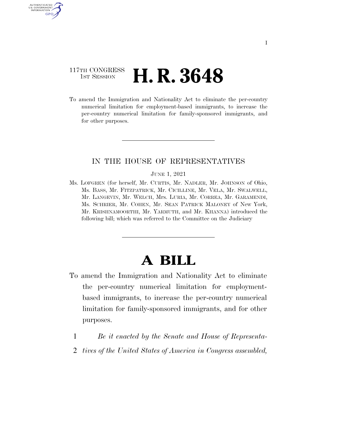### 117TH CONGRESS <sup>TH CONGRESS</sup> **H. R. 3648**

AUTHENTICATE U.S. GOVERNMENT GPO

> To amend the Immigration and Nationality Act to eliminate the per-country numerical limitation for employment-based immigrants, to increase the per-country numerical limitation for family-sponsored immigrants, and for other purposes.

### IN THE HOUSE OF REPRESENTATIVES

#### JUNE 1, 2021

Ms. LOFGREN (for herself, Mr. CURTIS, Mr. NADLER, Mr. JOHNSON of Ohio, Ms. BASS, Mr. FITZPATRICK, Mr. CICILLINE, Mr. VELA, Mr. SWALWELL, Mr. LANGEVIN, Mr. WELCH, Mrs. LURIA, Mr. CORREA, Mr. GARAMENDI, Ms. SCHRIER, Mr. COHEN, Mr. SEAN PATRICK MALONEY of New York, Mr. KRISHNAMOORTHI, Mr. YARMUTH, and Mr. KHANNA) introduced the following bill; which was referred to the Committee on the Judiciary

# **A BILL**

- To amend the Immigration and Nationality Act to eliminate the per-country numerical limitation for employmentbased immigrants, to increase the per-country numerical limitation for family-sponsored immigrants, and for other purposes.
	- 1 *Be it enacted by the Senate and House of Representa-*
	- 2 *tives of the United States of America in Congress assembled,*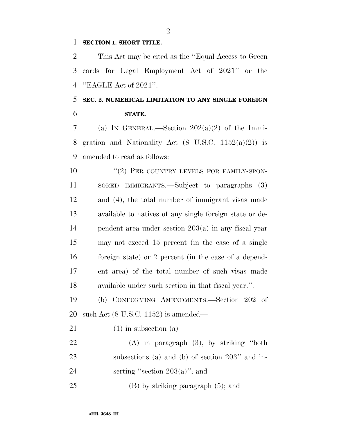#### **SECTION 1. SHORT TITLE.**

 This Act may be cited as the ''Equal Access to Green cards for Legal Employment Act of 2021'' or the ''EAGLE Act of 2021''.

## **SEC. 2. NUMERICAL LIMITATION TO ANY SINGLE FOREIGN STATE.**

7 (a) IN GENERAL.—Section  $202(a)(2)$  of the Immi-8 gration and Nationality Act  $(8 \text{ U.S.C. } 1152(a)(2))$  is amended to read as follows:

10 "(2) PER COUNTRY LEVELS FOR FAMILY-SPON- SORED IMMIGRANTS.—Subject to paragraphs (3) and (4), the total number of immigrant visas made available to natives of any single foreign state or de- pendent area under section 203(a) in any fiscal year may not exceed 15 percent (in the case of a single foreign state) or 2 percent (in the case of a depend- ent area) of the total number of such visas made available under such section in that fiscal year.''.

 (b) CONFORMING AMENDMENTS.—Section 202 of such Act (8 U.S.C. 1152) is amended—

21 (1) in subsection  $(a)$ —

 (A) in paragraph (3), by striking ''both subsections (a) and (b) of section 203'' and in-24 serting "section  $203(a)$ "; and

25 (B) by striking paragraph  $(5)$ ; and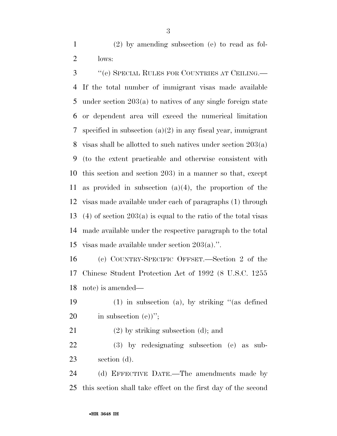(2) by amending subsection (e) to read as fol-lows:

 ''(e) SPECIAL RULES FOR COUNTRIES AT CEILING.— If the total number of immigrant visas made available under section 203(a) to natives of any single foreign state or dependent area will exceed the numerical limitation specified in subsection (a)(2) in any fiscal year, immigrant visas shall be allotted to such natives under section 203(a) (to the extent practicable and otherwise consistent with this section and section 203) in a manner so that, except as provided in subsection (a)(4), the proportion of the visas made available under each of paragraphs (1) through (4) of section 203(a) is equal to the ratio of the total visas made available under the respective paragraph to the total visas made available under section 203(a).''.

 (c) COUNTRY-SPECIFIC OFFSET.—Section 2 of the Chinese Student Protection Act of 1992 (8 U.S.C. 1255 note) is amended—

 (1) in subsection (a), by striking ''(as defined 20 in subsection  $(e)$ <sup>"</sup>;

(2) by striking subsection (d); and

 (3) by redesignating subsection (e) as sub-section (d).

 (d) EFFECTIVE DATE.—The amendments made by this section shall take effect on the first day of the second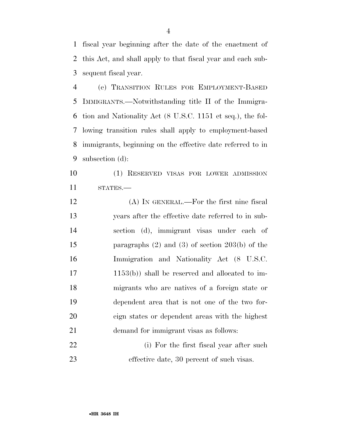fiscal year beginning after the date of the enactment of this Act, and shall apply to that fiscal year and each sub-sequent fiscal year.

 (e) TRANSITION RULES FOR EMPLOYMENT-BASED IMMIGRANTS.—Notwithstanding title II of the Immigra- tion and Nationality Act (8 U.S.C. 1151 et seq.), the fol- lowing transition rules shall apply to employment-based immigrants, beginning on the effective date referred to in subsection (d):

 (1) RESERVED VISAS FOR LOWER ADMISSION STATES.—

 (A) IN GENERAL.—For the first nine fiscal years after the effective date referred to in sub- section (d), immigrant visas under each of paragraphs (2) and (3) of section 203(b) of the Immigration and Nationality Act (8 U.S.C. 1153(b)) shall be reserved and allocated to im- migrants who are natives of a foreign state or dependent area that is not one of the two for- eign states or dependent areas with the highest demand for immigrant visas as follows:

22 (i) For the first fiscal year after such effective date, 30 percent of such visas.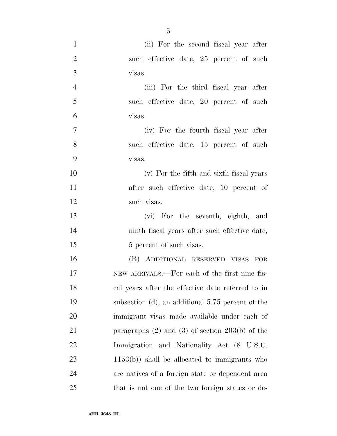| $\mathbf{1}$   | (ii) For the second fiscal year after                 |
|----------------|-------------------------------------------------------|
| $\overline{2}$ | such effective date, 25 percent of such               |
| 3              | visas.                                                |
| $\overline{4}$ | (iii) For the third fiscal year after                 |
| 5              | such effective date, 20 percent of such               |
| 6              | visas.                                                |
| $\tau$         | (iv) For the fourth fiscal year after                 |
| 8              | such effective date, 15 percent of such               |
| 9              | visas.                                                |
| 10             | (v) For the fifth and sixth fiscal years              |
| 11             | after such effective date, 10 percent of              |
| 12             | such visas.                                           |
| 13             | (vi) For the seventh, eighth, and                     |
| 14             | ninth fiscal years after such effective date,         |
| 15             | 5 percent of such visas.                              |
| 16             | (B) ADDITIONAL RESERVED VISAS FOR                     |
| 17             | NEW ARRIVALS.—For each of the first nine fis-         |
| 18             | cal years after the effective date referred to in     |
| 19             | subsection (d), an additional 5.75 percent of the     |
| 20             | immigrant visas made available under each of          |
| 21             | paragraphs $(2)$ and $(3)$ of section $203(b)$ of the |
| 22             | Immigration and Nationality Act (8 U.S.C.             |
| 23             | $1153(b)$ ) shall be allocated to immigrants who      |
| 24             | are natives of a foreign state or dependent area      |
| 25             | that is not one of the two foreign states or de-      |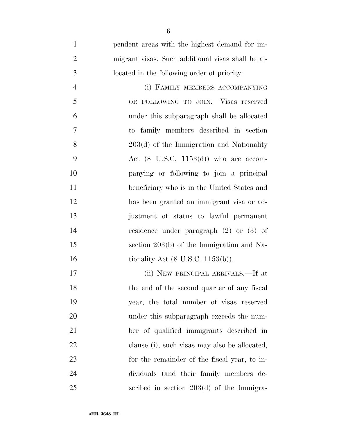pendent areas with the highest demand for im- migrant visas. Such additional visas shall be al- located in the following order of priority: (i) FAMILY MEMBERS ACCOMPANYING OR FOLLOWING TO JOIN.—Visas reserved under this subparagraph shall be allocated to family members described in section 8 203(d) of the Immigration and Nationality Act (8 U.S.C. 1153(d)) who are accom- panying or following to join a principal beneficiary who is in the United States and has been granted an immigrant visa or ad- justment of status to lawful permanent residence under paragraph (2) or (3) of section 203(b) of the Immigration and Na-16 tionality Act (8 U.S.C. 1153(b)). (ii) NEW PRINCIPAL ARRIVALS.—If at 18 the end of the second quarter of any fiscal year, the total number of visas reserved under this subparagraph exceeds the num-

 ber of qualified immigrants described in clause (i), such visas may also be allocated, for the remainder of the fiscal year, to in- dividuals (and their family members de-scribed in section 203(d) of the Immigra-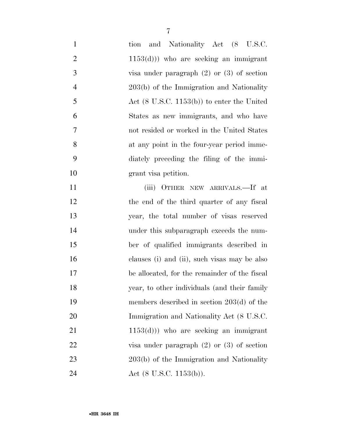| $\mathbf{1}$   | and Nationality Act (8 U.S.C.<br>tion                 |
|----------------|-------------------------------------------------------|
| $\mathbf{2}$   | $(1153(d)))$ who are seeking an immigrant             |
| 3              | visa under paragraph $(2)$ or $(3)$ of section        |
| $\overline{4}$ | 203(b) of the Immigration and Nationality             |
| 5              | Act $(8 \text{ U.S.C. } 1153(b))$ to enter the United |
| 6              | States as new immigrants, and who have                |
| 7              | not resided or worked in the United States            |
| 8              | at any point in the four-year period imme-            |
| 9              | diately preceding the filing of the immi-             |
| 10             | grant visa petition.                                  |
| 11             | (iii) OTHER NEW ARRIVALS.—If at                       |
| 12             | the end of the third quarter of any fiscal            |
| 13             | year, the total number of visas reserved              |
| 14             | under this subparagraph exceeds the num-              |
| 15             | ber of qualified immigrants described in              |
| 16             | clauses (i) and (ii), such visas may be also          |
| 17             | be allocated, for the remainder of the fiscal         |
| 18             | year, to other individuals (and their family          |
| 19             | members described in section $203(d)$ of the          |
| 20             | Immigration and Nationality Act (8 U.S.C.             |
| 21             | $(1153(d)))$ who are seeking an immigrant             |
| 22             | visa under paragraph $(2)$ or $(3)$ of section        |
| 23             | 203(b) of the Immigration and Nationality             |
| 24             | Act $(8 \text{ U.S.C. } 1153(b)).$                    |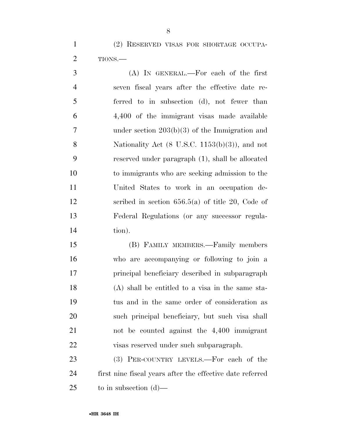(2) RESERVED VISAS FOR SHORTAGE OCCUPA-TIONS.—

 (A) IN GENERAL.—For each of the first seven fiscal years after the effective date re- ferred to in subsection (d), not fewer than 4,400 of the immigrant visas made available under section 203(b)(3) of the Immigration and 8 Nationality Act (8 U.S.C. 1153(b)(3)), and not reserved under paragraph (1), shall be allocated to immigrants who are seeking admission to the United States to work in an occupation de- scribed in section 656.5(a) of title 20, Code of Federal Regulations (or any successor regula-tion).

 (B) FAMILY MEMBERS.—Family members who are accompanying or following to join a principal beneficiary described in subparagraph (A) shall be entitled to a visa in the same sta- tus and in the same order of consideration as such principal beneficiary, but such visa shall not be counted against the 4,400 immigrant visas reserved under such subparagraph.

 (3) PER-COUNTRY LEVELS.—For each of the first nine fiscal years after the effective date referred to in subsection (d)—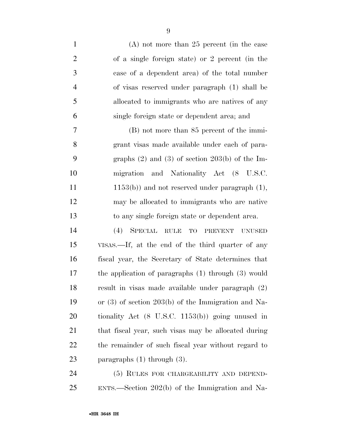(A) not more than 25 percent (in the case of a single foreign state) or 2 percent (in the case of a dependent area) of the total number of visas reserved under paragraph (1) shall be allocated to immigrants who are natives of any single foreign state or dependent area; and (B) not more than 85 percent of the immi- grant visas made available under each of para- graphs (2) and (3) of section 203(b) of the Im- migration and Nationality Act (8 U.S.C. 11 1153(b)) and not reserved under paragraph (1), may be allocated to immigrants who are native to any single foreign state or dependent area. (4) SPECIAL RULE TO PREVENT UNUSED VISAS.—If, at the end of the third quarter of any fiscal year, the Secretary of State determines that the application of paragraphs (1) through (3) would result in visas made available under paragraph (2) or (3) of section 203(b) of the Immigration and Na- tionality Act (8 U.S.C. 1153(b)) going unused in that fiscal year, such visas may be allocated during the remainder of such fiscal year without regard to paragraphs (1) through (3).

 (5) RULES FOR CHARGEABILITY AND DEPEND-ENTS.—Section 202(b) of the Immigration and Na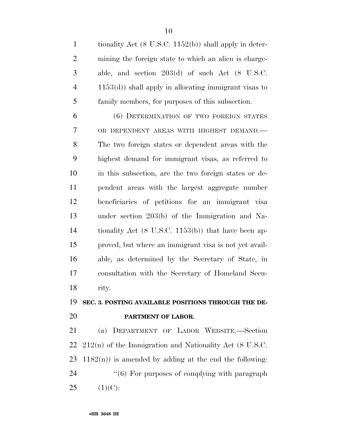tionality Act (8 U.S.C. 1152(b)) shall apply in deter- mining the foreign state to which an alien is charge- able, and section 203(d) of such Act (8 U.S.C. 1153(d)) shall apply in allocating immigrant visas to family members, for purposes of this subsection.

 (6) DETERMINATION OF TWO FOREIGN STATES OR DEPENDENT AREAS WITH HIGHEST DEMAND.— The two foreign states or dependent areas with the highest demand for immigrant visas, as referred to in this subsection, are the two foreign states or de- pendent areas with the largest aggregate number beneficiaries of petitions for an immigrant visa under section 203(b) of the Immigration and Na- tionality Act (8 U.S.C. 1153(b)) that have been ap- proved, but where an immigrant visa is not yet avail- able, as determined by the Secretary of State, in consultation with the Secretary of Homeland Secu-rity.

## **SEC. 3. POSTING AVAILABLE POSITIONS THROUGH THE DE-PARTMENT OF LABOR.**

 (a) DEPARTMENT OF LABOR WEBSITE.—Section 212(n) of the Immigration and Nationality Act (8 U.S.C.  $1182(n)$  is amended by adding at the end the following:  $(6)$  For purposes of complying with paragraph  $25 \t(1)(C):$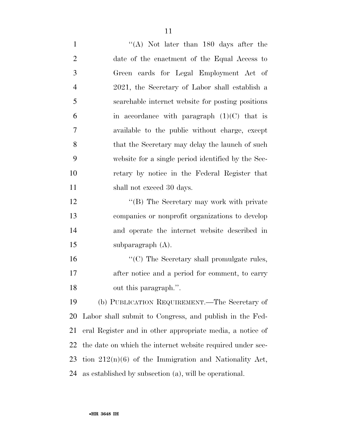1 ''(A) Not later than 180 days after the date of the enactment of the Equal Access to Green cards for Legal Employment Act of 2021, the Secretary of Labor shall establish a searchable internet website for posting positions 6 in accordance with paragraph  $(1)(C)$  that is available to the public without charge, except 8 that the Secretary may delay the launch of such website for a single period identified by the Sec- retary by notice in the Federal Register that 11 shall not exceed 30 days. 12 "'(B) The Secretary may work with private companies or nonprofit organizations to develop and operate the internet website described in subparagraph (A).  $\cdot$  (C) The Secretary shall promulgate rules, 17 after notice and a period for comment, to carry out this paragraph.''. (b) PUBLICATION REQUIREMENT.—The Secretary of Labor shall submit to Congress, and publish in the Fed- eral Register and in other appropriate media, a notice of the date on which the internet website required under sec-

tion 212(n)(6) of the Immigration and Nationality Act,

as established by subsection (a), will be operational.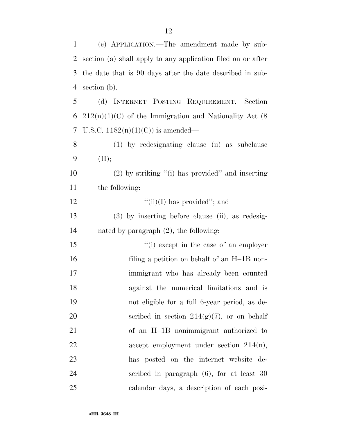| 1  | (c) APPLICATION.—The amendment made by sub-                  |
|----|--------------------------------------------------------------|
| 2  | section (a) shall apply to any application filed on or after |
| 3  | the date that is 90 days after the date described in sub-    |
| 4  | section (b).                                                 |
| 5  | (d) INTERNET POSTING REQUIREMENT.—Section                    |
| 6  | $212(n)(1)(C)$ of the Immigration and Nationality Act (8)    |
| 7  | U.S.C. $1182(n)(1)(C)$ is amended—                           |
| 8  | (1) by redesignating clause (ii) as subclause                |
| 9  | (II);                                                        |
| 10 | $(2)$ by striking "(i) has provided" and inserting           |
| 11 | the following:                                               |
| 12 | "(ii)(I) has provided"; and                                  |
| 13 | $(3)$ by inserting before clause (ii), as redesig-           |
| 14 | nated by paragraph $(2)$ , the following:                    |
| 15 | "(i) except in the case of an employer                       |
| 16 | filing a petition on behalf of an H-1B non-                  |
| 17 | immigrant who has already been counted                       |
| 18 | against the numerical limitations and is                     |
| 19 | not eligible for a full 6-year period, as de-                |
| 20 | scribed in section $214(g)(7)$ , or on behalf                |
| 21 | of an H-1B nonimmigrant authorized to                        |
| 22 | accept employment under section $214(n)$ ,                   |
| 23 | has posted on the internet website de-                       |
| 24 | scribed in paragraph $(6)$ , for at least 30                 |
| 25 | calendar days, a description of each posi-                   |

(c) APPLICATION.—The amendment made by sub-

•**HR 3648 IH**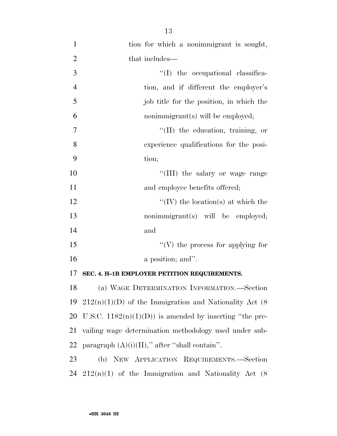1 tion for which a nonimmigrant is sought, 2 that includes—  $\frac{1}{1}$  the occupational classifica- tion, and if different the employer's job title for the position, in which the nonimmigrant(s) will be employed;  $''(II)$  the education, training, or experience qualifications for the posi-9 tion;  $\frac{10}{10}$  the salary or wage range 11 and employee benefits offered;  $\langle W \rangle$  the location(s) at which the 13 nonimmigrant(s) will be employed; 14 and  $\frac{1}{10}$  the process for applying for 16 a position; and". **SEC. 4. H–1B EMPLOYER PETITION REQUIREMENTS.**  (a) WAGE DETERMINATION INFORMATION.—Section  $212(n)(1)(D)$  of the Immigration and Nationality Act (8) 20 U.S.C.  $1182(n)(1)(D)$  is amended by inserting "the pre-vailing wage determination methodology used under sub-

22 paragraph  $(A)(i)(II)$ ," after "shall contain".

23 (b) NEW APPLICATION REQUIREMENTS.—Section 24  $212(n)(1)$  of the Immigration and Nationality Act  $(8)$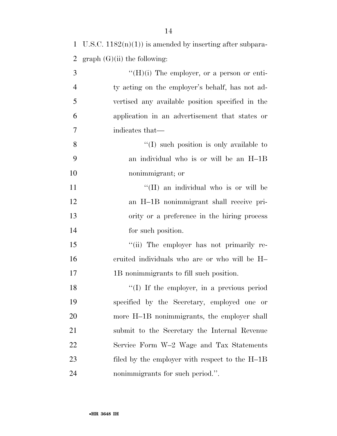| 1 U.S.C. $1182(n)(1)$ is amended by inserting after subpara- |
|--------------------------------------------------------------|
| 2 graph $(G)(ii)$ the following:                             |

| 3              | $\lq\lq(H)(i)$ The employer, or a person or enti- |
|----------------|---------------------------------------------------|
| $\overline{4}$ | ty acting on the employer's behalf, has not ad-   |
| 5              | vertised any available position specified in the  |
| 6              | application in an advertisement that states or    |
| 7              | indicates that—                                   |
| 8              | $\lq\lq$ such position is only available to       |
| 9              | an individual who is or will be an H-1B           |
| 10             | nonimmigrant; or                                  |
| 11             | "(II) an individual who is or will be             |
| 12             | an H-1B nonimmigrant shall receive pri-           |
| 13             | ority or a preference in the hiring process       |
| 14             | for such position.                                |
| 15             | "(ii) The employer has not primarily re-          |
| 16             | cruited individuals who are or who will be H-     |
| 17             | 1B nonimmigrants to fill such position.           |
| 18             | "(I) If the employer, in a previous period        |
| 19             | specified by the Secretary, employed one or       |
| 20             | more H-1B nonimmigrants, the employer shall       |
| 21             | submit to the Secretary the Internal Revenue      |
| 22             | Service Form W-2 Wage and Tax Statements          |
| 23             | filed by the employer with respect to the H-1B    |

nonimmigrants for such period.''.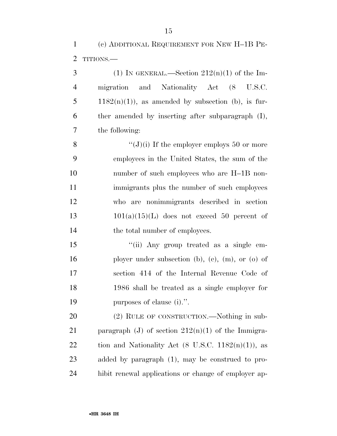(c) ADDITIONAL REQUIREMENT FOR NEW H–1B PE-TITIONS.—

3 (1) IN GENERAL.—Section  $212(n)(1)$  of the Im- migration and Nationality Act (8 U.S.C. 5 1182 $(n)(1)$ , as amended by subsection (b), is fur- ther amended by inserting after subparagraph (I), the following:

 $\qquad( J)(i)$  If the employer employs 50 or more employees in the United States, the sum of the number of such employees who are H–1B non- immigrants plus the number of such employees who are nonimmigrants described in section  $101(a)(15)(L)$  does not exceed 50 percent of 14 the total number of employees.

15 "(ii) Any group treated as a single em-16 ployer under subsection (b), (c), (m), or (o) of section 414 of the Internal Revenue Code of 1986 shall be treated as a single employer for purposes of clause (i).''.

 (2) RULE OF CONSTRUCTION.—Nothing in sub-21 paragraph (J) of section  $212(n)(1)$  of the Immigra-22 tion and Nationality Act  $(8 \text{ U.S.C. } 1182(n)(1))$ , as added by paragraph (1), may be construed to pro-hibit renewal applications or change of employer ap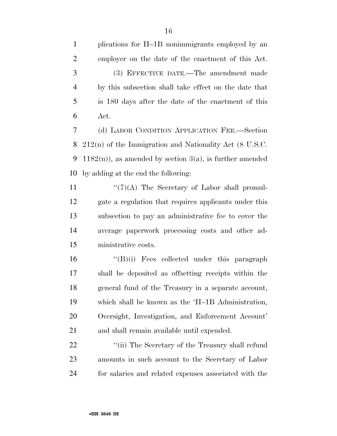plications for H–1B nonimmigrants employed by an employer on the date of the enactment of this Act. (3) EFFECTIVE DATE.—The amendment made by this subsection shall take effect on the date that is 180 days after the date of the enactment of this Act. (d) LABOR CONDITION APPLICATION FEE.—Section 212(n) of the Immigration and Nationality Act (8 U.S.C.

9 1182(n)), as amended by section  $3(a)$ , is further amended by adding at the end the following:

 $\langle (7)(A)$  The Secretary of Labor shall promul- gate a regulation that requires applicants under this subsection to pay an administrative fee to cover the average paperwork processing costs and other ad-ministrative costs.

 ''(B)(i) Fees collected under this paragraph shall be deposited as offsetting receipts within the general fund of the Treasury in a separate account, which shall be known as the 'H–1B Administration, Oversight, Investigation, and Enforcement Account' and shall remain available until expended.

22 ''(ii) The Secretary of the Treasury shall refund amounts in such account to the Secretary of Labor for salaries and related expenses associated with the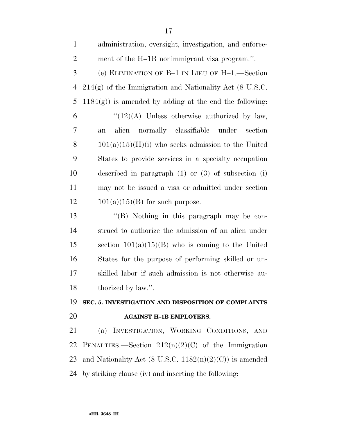| $\mathbf{1}$   | administration, oversight, investigation, and enforce-     |
|----------------|------------------------------------------------------------|
| $\overline{2}$ | ment of the H-1B nonimmigrant visa program.".              |
| 3              | (e) ELIMINATION OF B-1 IN LIEU OF H-1.—Section             |
| $\overline{4}$ | $214(g)$ of the Immigration and Nationality Act (8 U.S.C.  |
| 5              | $1184(g)$ ) is amended by adding at the end the following: |
| 6              | $\lq(12)(A)$ Unless otherwise authorized by law,           |
| $\overline{7}$ | normally classifiable under<br>alien<br>section<br>an      |
| 8              | $101(a)(15)(H)(i)$ who seeks admission to the United       |
| 9              | States to provide services in a specialty occupation       |
| 10             | described in paragraph $(1)$ or $(3)$ of subsection $(i)$  |
| 11             | may not be issued a visa or admitted under section         |
| 12             | $101(a)(15)(B)$ for such purpose.                          |
| 13             | $\lq\lq (B)$ Nothing in this paragraph may be con-         |
| 14             | strued to authorize the admission of an alien under        |
| 15             | section $101(a)(15)(B)$ who is coming to the United        |
| 16             | States for the purpose of performing skilled or un-        |
| 17             | skilled labor if such admission is not otherwise au-       |
| 18             | thorized by law.".                                         |

### **SEC. 5. INVESTIGATION AND DISPOSITION OF COMPLAINTS**

#### **AGAINST H–1B EMPLOYERS.**

 (a) INVESTIGATION, WORKING CONDITIONS, AND 22 PENALTIES.—Section  $212(n)(2)(C)$  of the Immigration 23 and Nationality Act (8 U.S.C.  $1182(n)(2)(C)$ ) is amended by striking clause (iv) and inserting the following: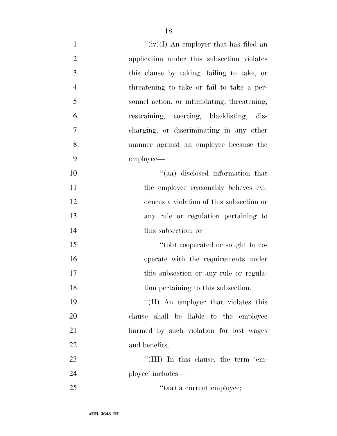| $\mathbf{1}$   | " $(iv)(I)$ An employer that has filed an    |
|----------------|----------------------------------------------|
| $\overline{2}$ | application under this subsection violates   |
| 3              | this clause by taking, failing to take, or   |
| $\overline{4}$ | threatening to take or fail to take a per-   |
| 5              | sonnel action, or intimidating, threatening, |
| 6              | restraining, coercing, blacklisting, dis-    |
| 7              | charging, or discriminating in any other     |
| 8              | manner against an employee because the       |
| 9              | employee—                                    |
| 10             | "(aa) disclosed information that             |
| 11             | the employee reasonably believes evi-        |
| 12             | dences a violation of this subsection or     |
| 13             | any rule or regulation pertaining to         |
| 14             | this subsection; or                          |
| 15             | "(bb) cooperated or sought to co-            |
| 16             | operate with the requirements under          |
| 17             | this subsection or any rule or regula-       |
| 18             | tion pertaining to this subsection.          |
| 19             | "(II) An employer that violates this         |
| 20             | clause shall be liable to the employee       |
| 21             | harmed by such violation for lost wages      |
| 22             | and benefits.                                |
| 23             | "(III) In this clause, the term 'em-         |
| 24             | ployee' includes—                            |
| 25             | "(aa) a current employee;                    |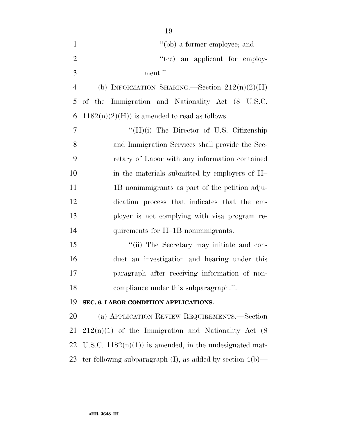| $\mathbf{1}$   | "(bb) a former employee; and                                    |
|----------------|-----------------------------------------------------------------|
| $\overline{2}$ | "(ee) an applicant for employ-                                  |
| 3              | ment.".                                                         |
| $\overline{4}$ | (b) INFORMATION SHARING.—Section $212(n)(2)(H)$                 |
| 5              | of the Immigration and Nationality Act (8 U.S.C.                |
| 6              | $1182(n)(2)(H)$ is amended to read as follows:                  |
| $\overline{7}$ | $\lq\lq (H)(i)$ The Director of U.S. Citizenship                |
| 8              | and Immigration Services shall provide the Sec-                 |
| 9              | retary of Labor with any information contained                  |
| 10             | in the materials submitted by employers of H-                   |
| 11             | 1B nonimmigrants as part of the petition adju-                  |
| 12             | dication process that indicates that the em-                    |
| 13             | ployer is not complying with visa program re-                   |
| 14             | quirements for H-1B nonimmigrants.                              |
| 15             | "(ii) The Secretary may initiate and con-                       |
| 16             | duct an investigation and hearing under this                    |
| 17             | paragraph after receiving information of non-                   |
| 18             | compliance under this subparagraph.".                           |
| 19             | SEC. 6. LABOR CONDITION APPLICATIONS.                           |
| 20             | (a) APPLICATION REVIEW REQUIREMENTS.-Section                    |
| 21             | $212(n)(1)$ of the Immigration and Nationality Act (8)          |
| 22             | U.S.C. $1182(n)(1)$ is amended, in the undesignated mat-        |
| 23             | ter following subparagraph $(I)$ , as added by section $4(b)$ — |
|                |                                                                 |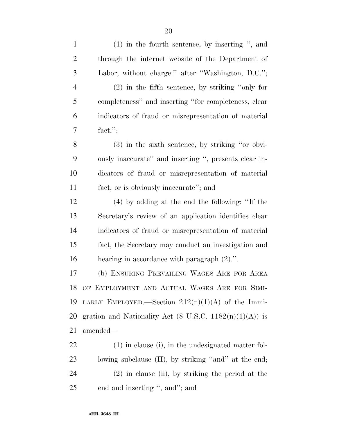| $\mathbf{1}$   | $(1)$ in the fourth sentence, by inserting ", and                         |
|----------------|---------------------------------------------------------------------------|
| $\overline{2}$ | through the internet website of the Department of                         |
| 3              | Labor, without charge." after "Washington, D.C.";                         |
| $\overline{4}$ | $(2)$ in the fifth sentence, by striking "only for                        |
| 5              | completeness" and inserting "for completeness, clear                      |
| 6              | indicators of fraud or misrepresentation of material                      |
| 7              | $fact,$ ";                                                                |
| 8              | $(3)$ in the sixth sentence, by striking "or obvi-                        |
| 9              | ously inaccurate" and inserting ", presents clear in-                     |
| 10             | dicators of fraud or misrepresentation of material                        |
| 11             | fact, or is obviously inaccurate"; and                                    |
| 12             | $(4)$ by adding at the end the following: "If the                         |
| 13             | Secretary's review of an application identifies clear                     |
| 14             | indicators of fraud or misrepresentation of material                      |
| 15             | fact, the Secretary may conduct an investigation and                      |
| 16             | hearing in accordance with paragraph $(2)$ .".                            |
| 17             | (b) ENSURING PREVAILING WAGES ARE FOR AREA                                |
| 18             | OF EMPLOYMENT AND ACTUAL WAGES ARE FOR SIMI-                              |
| 19             | LARLY EMPLOYED.—Section $212(n)(1)(A)$ of the Immi-                       |
| 20             | gration and Nationality Act $(8 \text{ U.S.C. } 1182(n)(1)(\text{A}))$ is |
| 21             | amended—                                                                  |
| <u>22</u>      | $(1)$ in clause (i), in the undesignated matter fol-                      |
| 23             | lowing subclause (II), by striking "and" at the end;                      |
| 24             | $(2)$ in clause (ii), by striking the period at the                       |
| 25             | end and inserting ", and"; and                                            |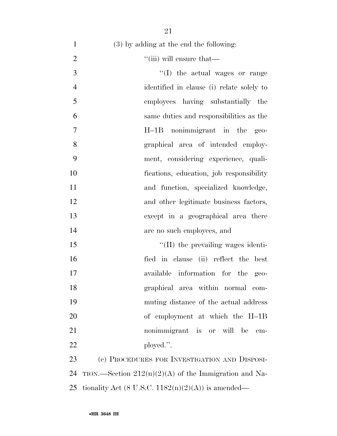| $(3)$ by adding at the end the following:               |
|---------------------------------------------------------|
| "(iii) will ensure that—                                |
| $\lq\lq$ (I) the actual wages or range                  |
| identified in clause (i) relate solely to               |
| employees having substantially the                      |
| same duties and responsibilities as the                 |
| H-1B nonimmigrant in the geo-                           |
| graphical area of intended employ-                      |
| ment, considering experience, quali-                    |
| fications, education, job responsibility                |
| and function, specialized knowledge,                    |
| and other legitimate business factors,                  |
| except in a geographical area there                     |
| are no such employees, and                              |
| "(II) the prevailing wages identi-                      |
| fied in clause (ii) reflect the best                    |
| available information for the<br>$geo-$                 |
| graphical area within normal com-                       |
| muting distance of the actual address                   |
| of employment at which the H-1B                         |
| nonimmigrant is or will be<br>em-                       |
| ployed.".                                               |
| (c) PROCEDURES FOR INVESTIGATION AND DISPOSI-           |
| TION.—Section $212(n)(2)(A)$ of the Immigration and Na- |
|                                                         |

25 tionality Act (8 U.S.C.  $1182(n)(2)(A)$ ) is amended—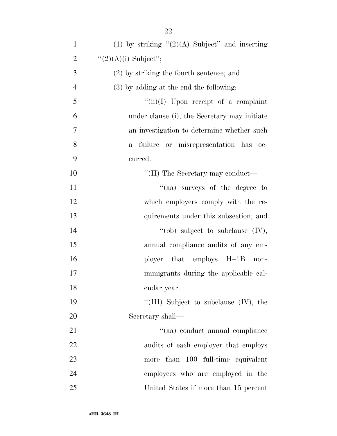| $\mathbf{1}$   | (1) by striking $"(2)(A)$ Subject" and inserting     |
|----------------|------------------------------------------------------|
| $\overline{2}$ | " $(2)(A)(i)$ Subject";                              |
| 3              | $(2)$ by striking the fourth sentence; and           |
| $\overline{4}$ | (3) by adding at the end the following:              |
| 5              | $``(ii)(I)$ Upon receipt of a complaint              |
| 6              | under clause (i), the Secretary may initiate         |
| 7              | an investigation to determine whether such           |
| 8              | failure or misrepresentation has oc-<br>$\mathbf{a}$ |
| 9              | curred.                                              |
| 10             | "(II) The Secretary may conduct—                     |
| 11             | "(aa) surveys of the degree to                       |
| 12             | which employers comply with the re-                  |
| 13             | quirements under this subsection; and                |
| 14             | "(bb) subject to subclause $(IV)$ ,                  |
| 15             | annual compliance audits of any em-                  |
| 16             | ployer that employs H-1B<br>non-                     |
| 17             | immigrants during the applicable cal-                |
| 18             | endar year.                                          |
| 19             | "(III) Subject to subclause $(IV)$ , the             |
| 20             | Secretary shall—                                     |
| 21             | "(aa) conduct annual compliance                      |
| 22             | audits of each employer that employs                 |
| 23             | than 100 full-time equivalent<br>more                |
| 24             | employees who are employed in the                    |
| 25             | United States if more than 15 percent                |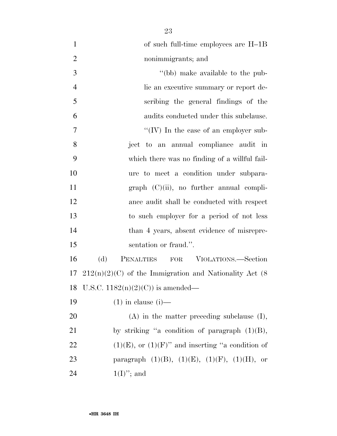| $\mathbf{1}$   | of such full-time employees are H-1B                      |
|----------------|-----------------------------------------------------------|
| $\overline{2}$ | nonimmigrants; and                                        |
| 3              | "(bb) make available to the pub-                          |
| $\overline{4}$ | lic an executive summary or report de-                    |
| 5              | scribing the general findings of the                      |
| 6              | audits conducted under this subclause.                    |
| $\overline{7}$ | "(IV) In the case of an employer sub-                     |
| 8              | ject to an annual compliance audit in                     |
| 9              | which there was no finding of a willful fail-             |
| 10             | ure to meet a condition under subpara-                    |
| 11             | $graph (C)(ii)$ , no further annual compli-               |
| 12             | ance audit shall be conducted with respect                |
| 13             | to such employer for a period of not less                 |
| 14             | than 4 years, absent evidence of misrepre-                |
| 15             | sentation or fraud.".                                     |
| 16             | (d)<br>PENALTIES FOR VIOLATIONS.—Section                  |
| 17             | $212(n)(2)(C)$ of the Immigration and Nationality Act (8) |
| 18             | U.S.C. $1182(n)(2)(C)$ is amended—                        |
| 19             | $(1)$ in clause $(i)$ —                                   |
| 20             | $(A)$ in the matter preceding subclause $(I)$ ,           |
| 21             | by striking "a condition of paragraph $(1)(B)$ ,          |
| 22             | $(1)(E)$ , or $(1)(F)$ " and inserting "a condition of    |
| 23             | paragraph $(1)(B)$ , $(1)(E)$ , $(1)(F)$ , $(1)(H)$ , or  |
| 24             | $1(I)$ "; and                                             |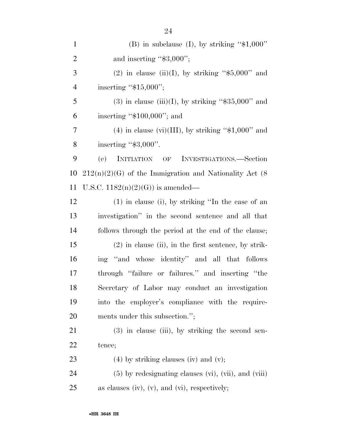| $\mathbf{1}$   | (B) in subclause (I), by striking " $$1,000"$ "           |
|----------------|-----------------------------------------------------------|
| $\overline{2}$ | and inserting " $$3,000$ ";                               |
| 3              | (2) in clause (ii)(I), by striking " $$5,000"$ and        |
| $\overline{4}$ | inserting " $$15,000$ ";                                  |
| 5              | $(3)$ in clause (iii)(I), by striking "\$35,000" and      |
| 6              | inserting " $$100,000$ "; and                             |
| 7              | $(4)$ in clause (vi)(III), by striking "\$1,000" and      |
| 8              | inserting " $\$3,000"$ .                                  |
| 9              | (e)<br>INITIATION OF INVESTIGATIONS.—Section              |
| 10             | $212(n)(2)(G)$ of the Immigration and Nationality Act (8) |
| 11             | U.S.C. $1182(n)(2)(G)$ is amended—                        |
| 12             | $(1)$ in clause (i), by striking "In the case of an       |
| 13             | investigation" in the second sentence and all that        |
| 14             | follows through the period at the end of the clause;      |
| 15             | $(2)$ in clause (ii), in the first sentence, by strik-    |
| 16             | ing "and whose identity" and all that follows             |
| 17             | through "failure or failures." and inserting "the         |
| 18             | Secretary of Labor may conduct an investigation           |
| 19             | into the employer's compliance with the require-          |
| 20             | ments under this subsection.";                            |
| 21             | $(3)$ in clause (iii), by striking the second sen-        |
| 22             | tence;                                                    |
| 23             | $(4)$ by striking clauses (iv) and (v);                   |
| 24             | $(5)$ by redesignating clauses (vi), (vii), and (viii)    |
| 25             | as clauses (iv), $(v)$ , and $(vi)$ , respectively;       |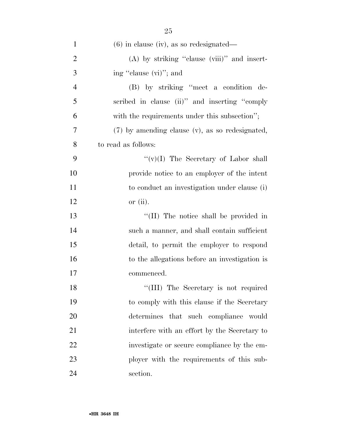| $\mathbf{1}$   | $(6)$ in clause (iv), as so redesignated—       |
|----------------|-------------------------------------------------|
| $\overline{2}$ | $(A)$ by striking "clause (viii)" and insert-   |
| 3              | ing "clause (vi)"; and                          |
| $\overline{4}$ | (B) by striking "meet a condition de-           |
| 5              | scribed in clause (ii)" and inserting "comply   |
| 6              | with the requirements under this subsection";   |
| 7              | (7) by amending clause (v), as so redesignated, |
| 8              | to read as follows:                             |
| 9              | " $(v)(I)$ The Secretary of Labor shall         |
| 10             | provide notice to an employer of the intent     |
| 11             | to conduct an investigation under clause (i)    |
| 12             | or $(ii)$ .                                     |
| 13             | "(II) The notice shall be provided in           |
| 14             | such a manner, and shall contain sufficient     |
| 15             | detail, to permit the employer to respond       |
| 16             | to the allegations before an investigation is   |
| 17             | commenced.                                      |
| 18             | "(III) The Secretary is not required            |
| 19             | to comply with this clause if the Secretary     |
| 20             | determines that such compliance would           |
| 21             | interfere with an effort by the Secretary to    |
| 22             | investigate or secure compliance by the em-     |
| 23             | ployer with the requirements of this sub-       |
| 24             | section.                                        |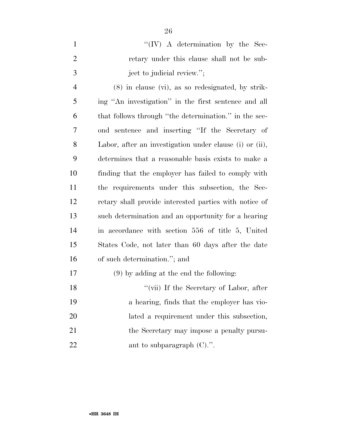| "(IV) A determination by the Sec-          |
|--------------------------------------------|
| retary under this clause shall not be sub- |
| ject to judicial review.";                 |

 (8) in clause (vi), as so redesignated, by strik- ing ''An investigation'' in the first sentence and all that follows through ''the determination.'' in the sec- ond sentence and inserting ''If the Secretary of Labor, after an investigation under clause (i) or (ii), determines that a reasonable basis exists to make a finding that the employer has failed to comply with the requirements under this subsection, the Sec- retary shall provide interested parties with notice of such determination and an opportunity for a hearing in accordance with section 556 of title 5, United States Code, not later than 60 days after the date of such determination.''; and

### (9) by adding at the end the following:

| 18 | "(vii) If the Secretary of Labor, after     |
|----|---------------------------------------------|
| 19 | a hearing, finds that the employer has vio- |
| 20 | lated a requirement under this subsection,  |
| 21 | the Secretary may impose a penalty pursu-   |
| 22 | ant to subparagraph $(C)$ .".               |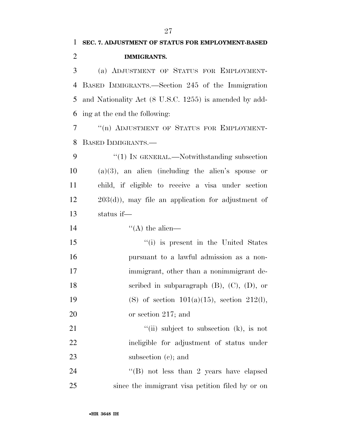# **SEC. 7. ADJUSTMENT OF STATUS FOR EMPLOYMENT-BASED IMMIGRANTS.**  (a) ADJUSTMENT OF STATUS FOR EMPLOYMENT-BASED IMMIGRANTS.—Section 245 of the Immigration

 and Nationality Act (8 U.S.C. 1255) is amended by add-ing at the end the following:

 ''(n) ADJUSTMENT OF STATUS FOR EMPLOYMENT-BASED IMMIGRANTS.—

9 "(1) IN GENERAL.—Notwithstanding subsection (a)(3), an alien (including the alien's spouse or child, if eligible to receive a visa under section 203(d)), may file an application for adjustment of status if—

14  $((A)$  the alien—

 ''(i) is present in the United States pursuant to a lawful admission as a non- immigrant, other than a nonimmigrant de- scribed in subparagraph (B), (C), (D), or 19 (S) of section  $101(a)(15)$ , section  $212(l)$ , or section 217; and

21 ''(ii) subject to subsection (k), is not ineligible for adjustment of status under 23 subsection (c); and

24 ''(B) not less than 2 years have elapsed since the immigrant visa petition filed by or on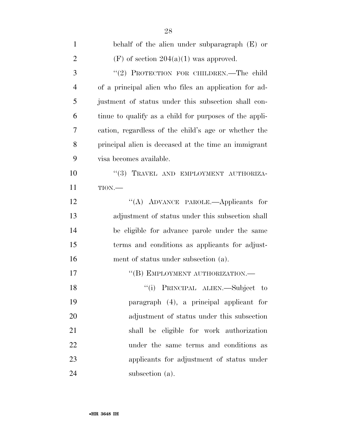| $\mathbf{1}$   | behalf of the alien under subparagraph $(E)$ or        |
|----------------|--------------------------------------------------------|
| $\overline{2}$ | $(F)$ of section $204(a)(1)$ was approved.             |
| 3              | "(2) PROTECTION FOR CHILDREN.—The child                |
| $\overline{4}$ | of a principal alien who files an application for ad-  |
| 5              | justment of status under this subsection shall con-    |
| 6              | tinue to qualify as a child for purposes of the appli- |
| 7              | cation, regardless of the child's age or whether the   |
| 8              | principal alien is deceased at the time an immigrant   |
| 9              | visa becomes available.                                |
| 10             | "(3) TRAVEL AND EMPLOYMENT AUTHORIZA-                  |
| 11             | $TION$ .                                               |
| 12             | "(A) ADVANCE PAROLE.—Applicants for                    |
| 13             | adjustment of status under this subsection shall       |
| 14             | be eligible for advance parole under the same          |
| 15             | terms and conditions as applicants for adjust-         |
| 16             | ment of status under subsection (a).                   |
| 17             | "(B) EMPLOYMENT AUTHORIZATION.-                        |
| 18             | "(i) PRINCIPAL ALIEN.—Subject to                       |
| 19             | paragraph (4), a principal applicant for               |
| 20             | adjustment of status under this subsection             |
| 21             | shall be eligible for work authorization               |
| 22             | under the same terms and conditions as                 |
| 23             | applicants for adjustment of status under              |
| 24             | subsection (a).                                        |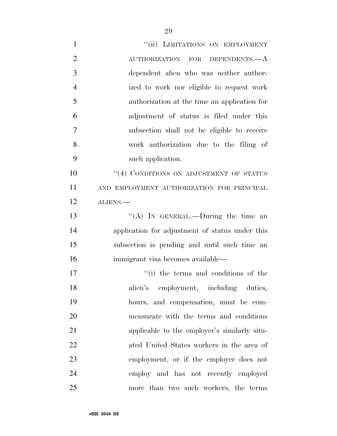| $\mathbf{1}$   | "(ii) LIMITATIONS ON EMPLOYMENT                 |
|----------------|-------------------------------------------------|
| $\overline{2}$ | AUTHORIZATION FOR DEPENDENTS.—A                 |
| 3              | dependent alien who was neither author-         |
| $\overline{4}$ | ized to work nor eligible to request work       |
| 5              | authorization at the time an application for    |
| 6              | adjustment of status is filed under this        |
| $\overline{7}$ | subsection shall not be eligible to receive     |
| 8              | work authorization due to the filing of         |
| 9              | such application.                               |
| 10             | "(4) CONDITIONS ON ADJUSTMENT OF STATUS         |
| 11             | AND EMPLOYMENT AUTHORIZATION FOR PRINCIPAL      |
| 12             | ALIENS.                                         |
| 13             | "(A) IN GENERAL.—During the time an             |
| 14             | application for adjustment of status under this |
| 15             | subsection is pending and until such time an    |
| 16             | immigrant visa becomes available—               |
| 17             | "(i) the terms and conditions of the            |
| 18             | alien's employment, including duties,           |
| 19             | hours, and compensation, must be com-           |
| 20             | mensurate with the terms and conditions         |
| 21             | applicable to the employer's similarly situ-    |
| 22             | ated United States workers in the area of       |
| 23             | employment, or if the employer does not         |
| 24             | employ and has not recently employed            |
| 25             | more than two such workers, the terms           |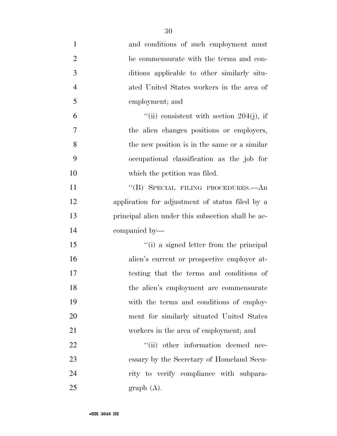| $\mathbf{1}$   | and conditions of such employment must             |
|----------------|----------------------------------------------------|
| $\overline{2}$ | be commensurate with the terms and con-            |
| 3              | ditions applicable to other similarly situ-        |
| $\overline{4}$ | ated United States workers in the area of          |
| 5              | employment; and                                    |
| 6              | "(ii) consistent with section 204(j), if           |
| $\overline{7}$ | the alien changes positions or employers,          |
| 8              | the new position is in the same or a similar       |
| 9              | occupational classification as the job for         |
| 10             | which the petition was filed.                      |
| 11             | "(B) SPECIAL FILING PROCEDURES.—An                 |
| 12             | application for adjustment of status filed by a    |
| 13             | principal alien under this subsection shall be ac- |
| 14             | companied by—                                      |
| 15             | "(i) a signed letter from the principal            |
| 16             | alien's current or prospective employer at-        |
| 17             | testing that the terms and conditions of           |
| 18             | the alien's employment are commensurate            |
| 19             | with the terms and conditions of employ-           |
| 20             | ment for similarly situated United States          |
| 21             | workers in the area of employment; and             |
| 22             | "(ii) other information deemed nec-                |
| 23             | essary by the Secretary of Homeland Secu-          |
| 24             | rity to verify compliance with subpara-            |
| 25             | graph(A).                                          |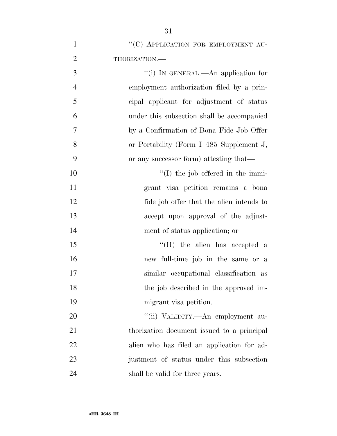| $\mathbf{1}$   | "(C) APPLICATION FOR EMPLOYMENT AU-        |
|----------------|--------------------------------------------|
| $\overline{2}$ | THORIZATION.                               |
| 3              | "(i) IN GENERAL.—An application for        |
| $\overline{4}$ | employment authorization filed by a prin-  |
| 5              | cipal applicant for adjustment of status   |
| 6              | under this subsection shall be accompanied |
| $\overline{7}$ | by a Confirmation of Bona Fide Job Offer   |
| 8              | or Portability (Form I-485 Supplement J,   |
| 9              | or any successor form) attesting that—     |
| 10             | $\lq (I)$ the job offered in the immi-     |
| 11             | grant visa petition remains a bona         |
| 12             | fide job offer that the alien intends to   |
| 13             | accept upon approval of the adjust-        |
| 14             | ment of status application; or             |
| 15             | $\lq\lq$ (II) the alien has accepted a     |
| 16             | new full-time job in the same or a         |
| 17             | similar occupational classification as     |
| 18             | the job described in the approved im-      |
| 19             | migrant visa petition.                     |
| 20             | "(ii) VALIDITY.—An employment au-          |
| 21             | thorization document issued to a principal |
| 22             | alien who has filed an application for ad- |
| 23             | justment of status under this subsection   |
| 24             | shall be valid for three years.            |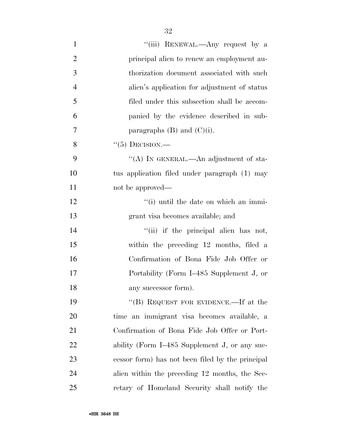| $\mathbf{1}$   | "(iii) RENEWAL.—Any request by a                 |
|----------------|--------------------------------------------------|
| $\overline{2}$ | principal alien to renew an employment au-       |
| 3              | thorization document associated with such        |
| $\overline{4}$ | alien's application for adjustment of status     |
| 5              | filed under this subsection shall be accom-      |
| 6              | panied by the evidence described in sub-         |
| 7              | paragraphs $(B)$ and $(C)(i)$ .                  |
| 8              | $``(5)$ DECISION.—                               |
| 9              | "(A) IN GENERAL.—An adjustment of sta-           |
| 10             | tus application filed under paragraph (1) may    |
| 11             | not be approved—                                 |
| 12             | "(i) until the date on which an immi-            |
| 13             | grant visa becomes available; and                |
| 14             | "(ii) if the principal alien has not,            |
| 15             | within the preceding 12 months, filed a          |
| 16             | Confirmation of Bona Fide Job Offer or           |
| 17             | Portability (Form I-485 Supplement J, or         |
| 18             | any successor form).                             |
| 19             | "(B) REQUEST FOR EVIDENCE.—If at the             |
| 20             | time an immigrant visa becomes available, a      |
| 21             | Confirmation of Bona Fide Job Offer or Port-     |
| 22             | ability (Form I-485 Supplement J, or any suc-    |
| 23             | cessor form) has not been filed by the principal |
| 24             | alien within the preceding 12 months, the Sec-   |
| 25             | retary of Homeland Security shall notify the     |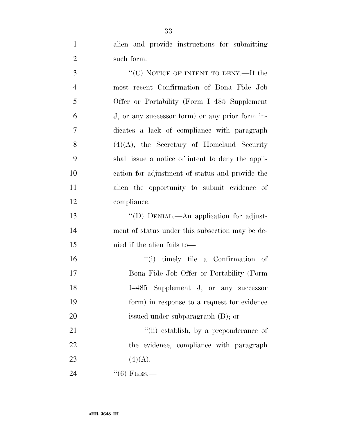alien and provide instructions for submitting such form.

3 "<sup>(C)</sup> NOTICE OF INTENT TO DENY.—If the most recent Confirmation of Bona Fide Job Offer or Portability (Form I–485 Supplement J, or any successor form) or any prior form in- dicates a lack of compliance with paragraph  $(4)(A)$ , the Secretary of Homeland Security shall issue a notice of intent to deny the appli- cation for adjustment of status and provide the alien the opportunity to submit evidence of compliance. ''(D) DENIAL.—An application for adjust-

 ment of status under this subsection may be de-nied if the alien fails to—

 ''(i) timely file a Confirmation of Bona Fide Job Offer or Portability (Form I–485 Supplement J, or any successor form) in response to a request for evidence issued under subparagraph (B); or

21 ''(ii) establish, by a preponderance of 22 the evidence, compliance with paragraph 23 (4)(A).

''(6) FEES.—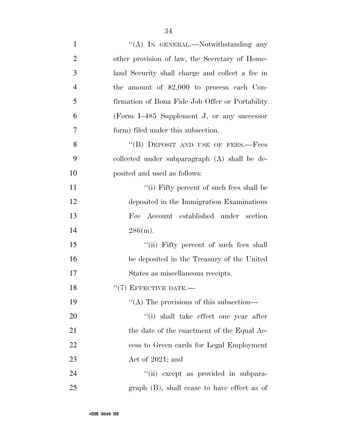| $\mathbf{1}$   | "(A) IN GENERAL.—Notwithstanding any            |
|----------------|-------------------------------------------------|
| $\overline{2}$ | other provision of law, the Secretary of Home-  |
| 3              | land Security shall charge and collect a fee in |
| $\overline{4}$ | the amount of $$2,000$ to process each Con-     |
| 5              | firmation of Bona Fide Job Offer or Portability |
| 6              | (Form I-485 Supplement J, or any successor      |
| 7              | form) filed under this subsection.              |
| 8              | "(B) DEPOSIT AND USE OF FEES.—Fees              |
| 9              | collected under subparagraph (A) shall be de-   |
| 10             | posited and used as follows:                    |
| 11             | $``(i)$ Fifty percent of such fees shall be     |
| 12             | deposited in the Immigration Examinations       |
| 13             | Fee Account established under section           |
| 14             | 286(m).                                         |
| 15             | "(ii) Fifty percent of such fees shall          |
| 16             | be deposited in the Treasury of the United      |
| 17             | States as miscellaneous receipts.               |
| 18             | $``(7)$ EFFECTIVE DATE.—                        |
| 19             | "(A) The provisions of this subsection—         |
| 20             | "(i) shall take effect one year after           |
| 21             | the date of the enactment of the Equal Ac-      |
| 22             | cess to Green cards for Legal Employment        |
| 23             | Act of $2021$ ; and                             |
| 24             | "(ii) except as provided in subpara-            |
| 25             | $graph$ (B), shall cease to have effect as of   |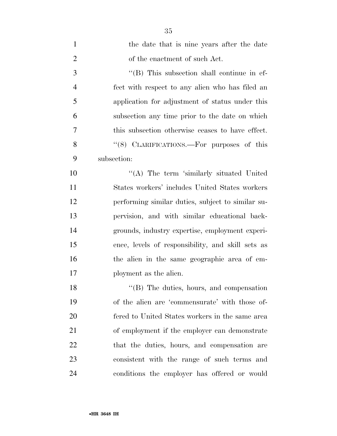| $\mathbf{1}$   | the date that is nine years after the date         |
|----------------|----------------------------------------------------|
| $\overline{2}$ | of the enactment of such Act.                      |
| 3              | $\lq\lq$ (B) This subsection shall continue in ef- |
| $\overline{4}$ | fect with respect to any alien who has filed an    |
| 5              | application for adjustment of status under this    |
| 6              | subsection any time prior to the date on which     |
| 7              | this subsection otherwise ceases to have effect.   |
| 8              | "(8) CLARIFICATIONS.—For purposes of this          |
| 9              | subsection:                                        |
| 10             | "(A) The term 'similarly situated United           |
| 11             | States workers' includes United States workers     |
| 12             | performing similar duties, subject to similar su-  |
| 13             | pervision, and with similar educational back-      |
| 14             | grounds, industry expertise, employment experi-    |
| 15             | ence, levels of responsibility, and skill sets as  |
| 16             | the alien in the same geographic area of em-       |
| 17             | ployment as the alien.                             |
| 18             | "(B) The duties, hours, and compensation           |
| 19             | of the alien are 'commensurate' with those of-     |
| 20             | fered to United States workers in the same area    |
| 21             | of employment if the employer can demonstrate      |
| 22             | that the duties, hours, and compensation are       |
| 23             | consistent with the range of such terms and        |
| 24             | conditions the employer has offered or would       |